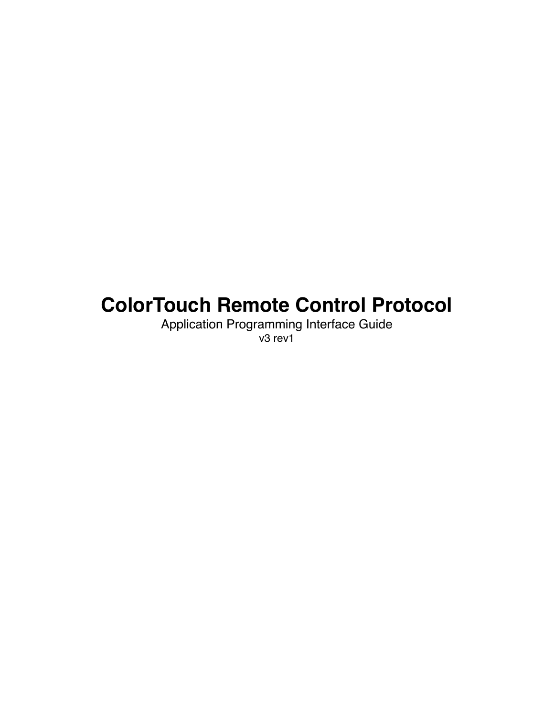# **ColorTouch Remote Control Protocol**

Application Programming Interface Guide v3 rev1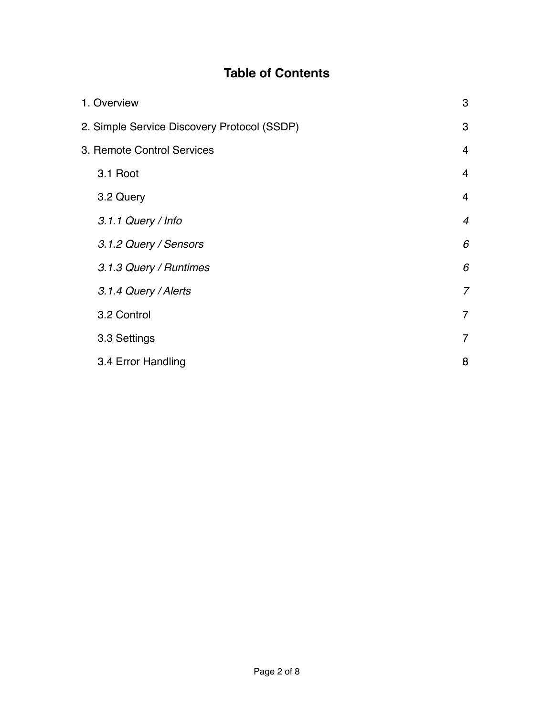## **Table of Contents**

|                            | 1. Overview                                 | 3              |
|----------------------------|---------------------------------------------|----------------|
|                            | 2. Simple Service Discovery Protocol (SSDP) |                |
| 3. Remote Control Services |                                             |                |
|                            | 3.1 Root                                    | $\overline{4}$ |
|                            | 3.2 Query                                   | 4              |
|                            | 3.1.1 Query / Info                          | $\overline{4}$ |
|                            | 3.1.2 Query / Sensors                       | 6              |
|                            | 3.1.3 Query / Runtimes                      | 6              |
|                            | 3.1.4 Query / Alerts                        | $\overline{7}$ |
|                            | 3.2 Control                                 | $\overline{7}$ |
|                            | 3.3 Settings                                | 7              |
|                            | 3.4 Error Handling                          | 8              |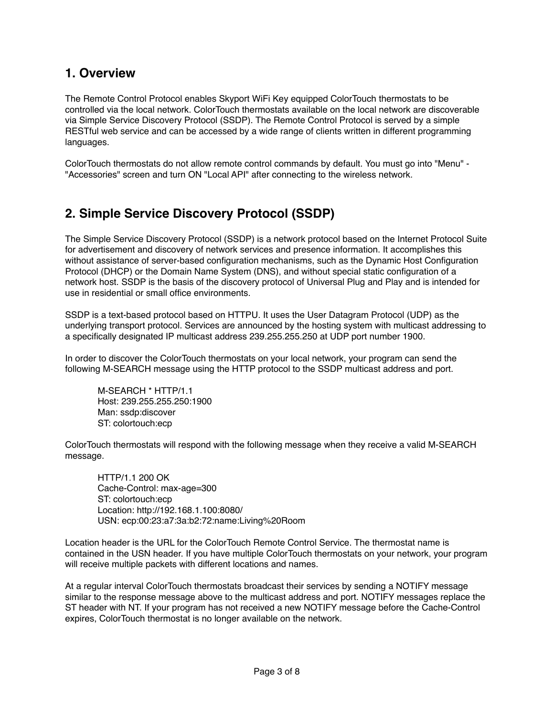### **1. Overview**

The Remote Control Protocol enables Skyport WiFi Key equipped ColorTouch thermostats to be controlled via the local network. ColorTouch thermostats available on the local network are discoverable via Simple Service Discovery Protocol (SSDP). The Remote Control Protocol is served by a simple RESTful web service and can be accessed by a wide range of clients written in different programming languages.

ColorTouch thermostats do not allow remote control commands by default. You must go into "Menu" - "Accessories" screen and turn ON "Local API" after connecting to the wireless network.

## **2. Simple Service Discovery Protocol (SSDP)**

The Simple Service Discovery Protocol (SSDP) is a network protocol based on the Internet Protocol Suite for advertisement and discovery of network services and presence information. It accomplishes this without assistance of server-based configuration mechanisms, such as the Dynamic Host Configuration Protocol (DHCP) or the Domain Name System (DNS), and without special static configuration of a network host. SSDP is the basis of the discovery protocol of Universal Plug and Play and is intended for use in residential or small office environments.

SSDP is a text-based protocol based on HTTPU. It uses the User Datagram Protocol (UDP) as the underlying transport protocol. Services are announced by the hosting system with multicast addressing to a specifically designated IP multicast address 239.255.255.250 at UDP port number 1900.

In order to discover the ColorTouch thermostats on your local network, your program can send the following M-SEARCH message using the HTTP protocol to the SSDP multicast address and port.

M-SEARCH \* HTTP/1.1 Host: 239.255.255.250:1900 Man: ssdp:discover ST: colortouch:ecp

ColorTouch thermostats will respond with the following message when they receive a valid M-SEARCH message.

HTTP/1.1 200 OK Cache-Control: max-age=300 ST: colortouch:ecp Location: http://192.168.1.100:8080/ USN: ecp:00:23:a7:3a:b2:72:name:Living%20Room

Location header is the URL for the ColorTouch Remote Control Service. The thermostat name is contained in the USN header. If you have multiple ColorTouch thermostats on your network, your program will receive multiple packets with different locations and names.

At a regular interval ColorTouch thermostats broadcast their services by sending a NOTIFY message similar to the response message above to the multicast address and port. NOTIFY messages replace the ST header with NT. If your program has not received a new NOTIFY message before the Cache-Control expires, ColorTouch thermostat is no longer available on the network.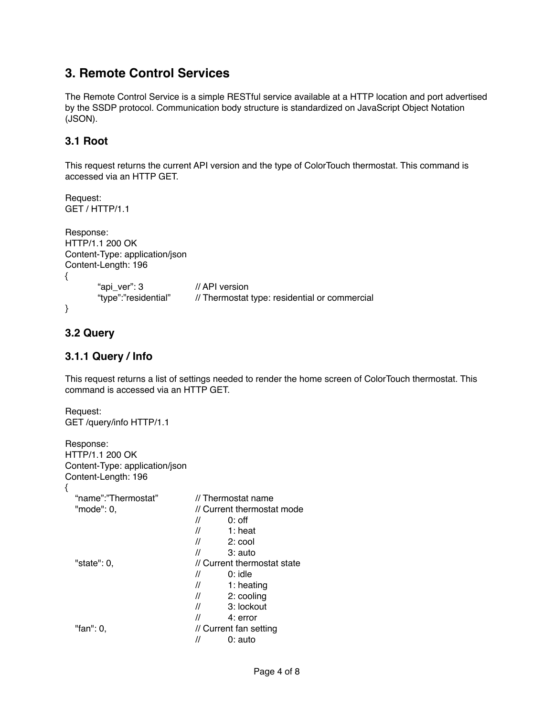## **3. Remote Control Services**

The Remote Control Service is a simple RESTful service available at a HTTP location and port advertised by the SSDP protocol. Communication body structure is standardized on JavaScript Object Notation (JSON).

#### **3.1 Root**

This request returns the current API version and the type of ColorTouch thermostat. This command is accessed via an HTTP GET.

```
Request: 
GET / HTTP/1.1
Response:
HTTP/1.1 200 OK
Content-Type: application/json
Content-Length: 196
{
       "api_ver": 3! ! // API version
                             // Thermostat type: residential or commercial
}
```
#### **3.2 Query**

#### **3.1.1 Query / Info**

This request returns a list of settings needed to render the home screen of ColorTouch thermostat. This command is accessed via an HTTP GET.

```
Request: 
GET /query/info HTTP/1.1
```

| Response:<br>HTTP/1.1 200 OK<br>Content-Type: application/json<br>Content-Length: 196<br>{ |                                 |
|--------------------------------------------------------------------------------------------|---------------------------------|
| "name":"Thermostat"                                                                        | // Thermostat name              |
| "mode": 0.                                                                                 | // Current thermostat mode      |
|                                                                                            | $^{\prime\prime}$<br>$0:$ off   |
|                                                                                            | $^{\prime\prime}$<br>$1:$ heat  |
|                                                                                            | $^{\prime\prime}$<br>$2:$ cool  |
|                                                                                            | $^{\prime\prime}$<br>$3:$ auto  |
| "state": 0.                                                                                | // Current thermostat state     |
|                                                                                            | $0:$ idle<br>$^{\prime\prime}$  |
|                                                                                            | $^{\prime\prime}$<br>1: heating |
|                                                                                            | $^{\prime\prime}$<br>2: cooling |
|                                                                                            | 3: lockout<br>$^{\prime\prime}$ |
|                                                                                            | 11<br>4: error                  |
| "fan": 0.                                                                                  | // Current fan setting          |
|                                                                                            | //<br>0: auto                   |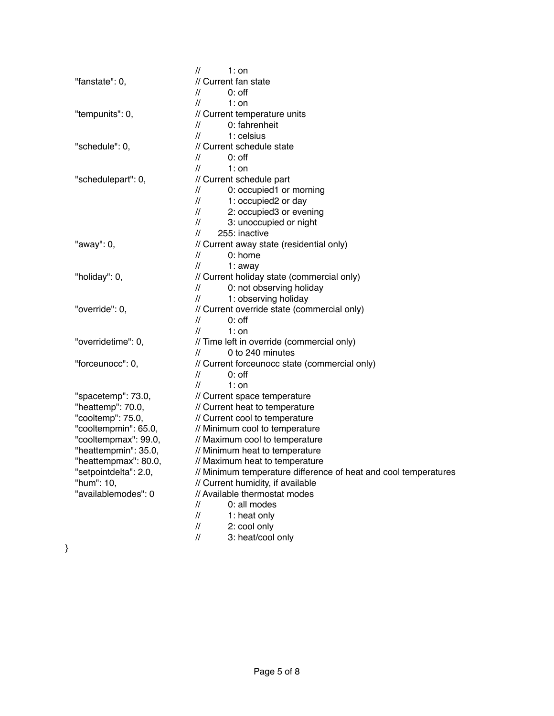|                       | $1:$ on<br>$^{\prime\prime}$                                    |
|-----------------------|-----------------------------------------------------------------|
| "fanstate": 0,        | // Current fan state                                            |
|                       | $0:$ off<br>$^{\prime\prime}$                                   |
|                       | $1:$ on<br>$^{\prime\prime}$                                    |
| "tempunits": 0,       | // Current temperature units                                    |
|                       | 0: fahrenheit<br>$^{\prime\prime}$                              |
|                       | $1:$ celsius<br>$^{\prime\prime}$                               |
| "schedule": 0,        | // Current schedule state                                       |
|                       | $0:$ off<br>$^{\prime\prime}$                                   |
|                       | $^{\prime\prime}$<br>$1:$ on                                    |
| "schedulepart": 0,    | // Current schedule part                                        |
|                       | 0: occupied1 or morning<br>$^{\prime\prime}$                    |
|                       | 1: occupied2 or day<br>$^{\prime\prime}$                        |
|                       | 2: occupied3 or evening<br>$^{\prime\prime}$                    |
|                       | 3: unoccupied or night<br>$^{\prime\prime}$                     |
|                       | 255: inactive<br>$^{\prime\prime}$                              |
| "away": 0,            | // Current away state (residential only)                        |
|                       | $0:$ home<br>$^{\prime\prime}$                                  |
|                       | $^{\prime\prime}$<br>$1:$ away                                  |
| "holiday": 0,         | // Current holiday state (commercial only)                      |
|                       | 0: not observing holiday<br>$^{\prime\prime}$                   |
|                       | 1: observing holiday<br>$^{\prime\prime}$                       |
| "override": 0,        | // Current override state (commercial only)                     |
|                       | $0:$ off<br>$^{\prime\prime}$                                   |
|                       | $^{\prime\prime}$<br>$1:$ on                                    |
| "overridetime": 0,    | // Time left in override (commercial only)                      |
|                       | 0 to 240 minutes<br>$^{\prime\prime}$                           |
| "forceunocc": 0,      | // Current forceunocc state (commercial only)                   |
|                       | $0:$ off<br>$\prime\prime$                                      |
|                       | $1:$ on<br>$\prime\prime$                                       |
| "spacetemp": 73.0,    | // Current space temperature                                    |
| "heattemp": 70.0,     | // Current heat to temperature                                  |
| "cooltemp": 75.0,     | // Current cool to temperature                                  |
| "cooltempmin": 65.0,  | // Minimum cool to temperature                                  |
| "cooltempmax": 99.0,  | // Maximum cool to temperature                                  |
| "heattempmin": 35.0,  | // Minimum heat to temperature                                  |
| "heattempmax": 80.0,  | // Maximum heat to temperature                                  |
| "setpointdelta": 2.0, | // Minimum temperature difference of heat and cool temperatures |
| "hum": 10,            | // Current humidity, if available                               |
| "availablemodes": 0   | // Available thermostat modes                                   |
|                       | 0: all modes<br>$^{\prime\prime}$                               |
|                       | $^{\prime\prime}$<br>1: heat only                               |
|                       | 2: cool only<br>$^{\prime\prime}$                               |
|                       | 3: heat/cool only<br>$^{\prime\prime}$                          |

}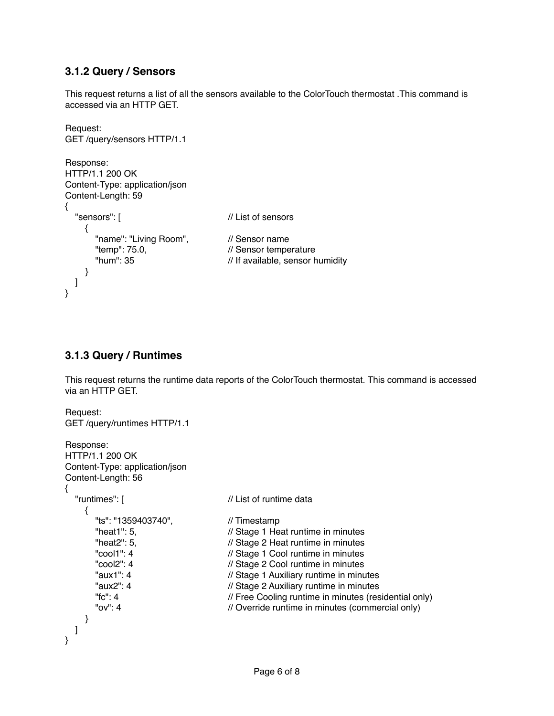#### **3.1.2 Query / Sensors**

This request returns a list of all the sensors available to the ColorTouch thermostat .This command is accessed via an HTTP GET.

```
Request: 
GET /query/sensors HTTP/1.1
Response:
HTTP/1.1 200 OK
Content-Type: application/json
Content-Length: 59
{
  "sensors": [ \sqrt{2} // List of sensors
      {
       "name": "Living Room", 
"lemp": 75.0,
"
lemp": 75.0,
<br>
"
lemp": 75.0,
<br>
l' Sensor tempe
                                          // Sensor temperature
        "hum": 35! ! ! // If available, sensor humidity
      }
   ]
}
```
#### **3.1.3 Query / Runtimes**

This request returns the runtime data reports of the ColorTouch thermostat. This command is accessed via an HTTP GET.

```
Request: 
GET /query/runtimes HTTP/1.1
Response:
HTTP/1.1 200 OK
Content-Type: application/json
Content-Length: 56
{
  "runtimes": [ \frac{1}{2} | \frac{1}{2} | \frac{1}{2} | \frac{1}{2} | List of runtime data
      {
       "ts": "1359403740", " // Timestamp<br>"heat1": 5, // Stage 1 He
       "heat1": 5, \frac{1}{1} // Stage 1 Heat runtime in minutes<br>"heat2": 5, \frac{1}{1} // Stage 2 Heat runtime in minutes
        "heat2": 5,! ! ! // Stage 2 Heat runtime in minutes
                                         // Stage 1 Cool runtime in minutes
        "cool2": 4! ! ! // Stage 2 Cool runtime in minutes
        "aux1": 4! ! ! // Stage 1 Auxiliary runtime in minutes
        "aux2": 4! ! ! // Stage 2 Auxiliary runtime in minutes
        "fc": 4! ! ! ! // Free Cooling runtime in minutes (residential only)
                                         // Override runtime in minutes (commercial only)
     }
   ]
}
```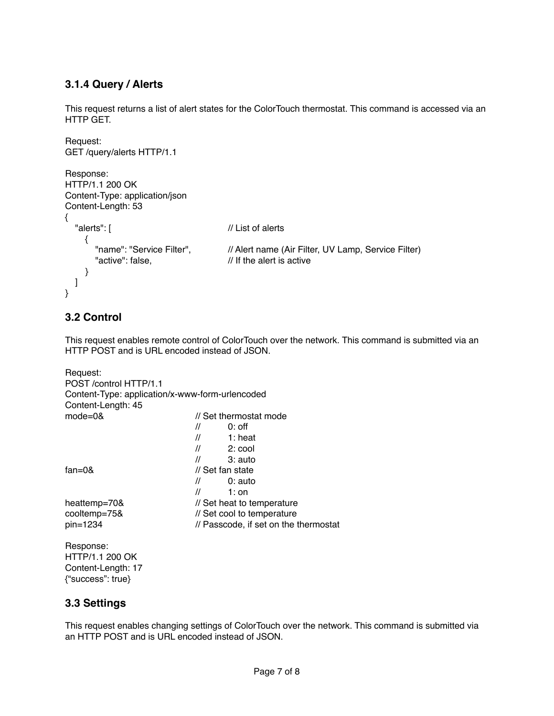#### **3.1.4 Query / Alerts**

This request returns a list of alert states for the ColorTouch thermostat. This command is accessed via an HTTP GET.

```
Request: 
GET /query/alerts HTTP/1.1
Response:
HTTP/1.1 200 OK
Content-Type: application/json
Content-Length: 53
{
  "alerts": [ \sqrt{2} // List of alerts
     {
       "name": "Service Filter", \frac{1}{2} // Alert name (Air Filter, UV Lamp, Service Filter)
       "active": false, \frac{1}{10} // If the alert is active
     }
   ]
}
```
#### **3.2 Control**

This request enables remote control of ColorTouch over the network. This command is submitted via an HTTP POST and is URL encoded instead of JSON.

```
Request:
POST /control HTTP/1.1
Content-Type: application/x-www-form-urlencoded
Content-Length: 45
mode=0& \blacksquare // Set thermostat mode
\mathcal{U} // 0: off
                         // 1: heat
                         \frac{1}{2} 2: cool
                         11 3: auto
fan=0& // Set fan state
                         \frac{1}{2} 0: auto
                         \frac{1}{2} 1: on
heattemp=70& // Set heat to temperature
cooltemp=75& // Set cool to temperature
pin=1234 \frac{1}{2} // Passcode, if set on the thermostat
Response:
HTTP/1.1 200 OK
Content-Length: 17
```
#### **3.3 Settings**

{"success": true}

This request enables changing settings of ColorTouch over the network. This command is submitted via an HTTP POST and is URL encoded instead of JSON.